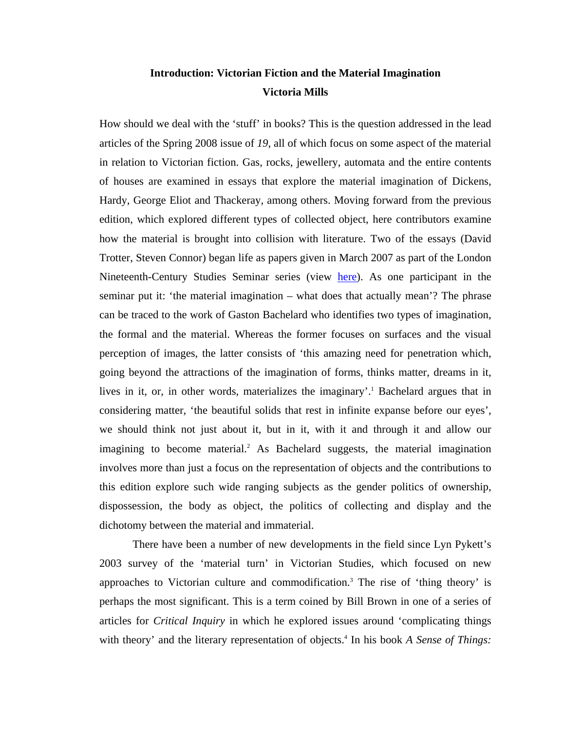# **Introduction: Victorian Fiction and the Material Imagination Victoria Mills**

How should we deal with the 'stuff' in books? This is the question addressed in the lead articles of the Spring 2008 issue of *19*, all of which focus on some aspect of the material in relation to Victorian fiction. Gas, rocks, jewellery, automata and the entire contents of houses are examined in essays that explore the material imagination of Dickens, Hardy, George Eliot and Thackeray, among others. Moving forward from the previous edition, which explored different types of collected object, here contributors examine how the material is brought into collision with literature. Two of the essays (David Trotter, Steven Connor) began life as papers given in March 2007 as part of the London Nineteenth-Century Studies Seminar series (view [here\)](http://www.bbk.ac.uk/eh/research/research_centres/research_cncs/research_pastevents). As one participant in the seminar put it: 'the material imagination – what does that actually mean'? The phrase can be traced to the work of Gaston Bachelard who identifies two types of imagination, the formal and the material. Whereas the former focuses on surfaces and the visual perception of images, the latter consists of 'this amazing need for penetration which, going beyond the attractions of the imagination of forms, thinks matter, dreams in it, lives in it, or, in other words, materializes the imaginary'.<sup>1</sup> Bachelard argues that in considering matter, 'the beautiful solids that rest in infinite expanse before our eyes', we should think not just about it, but in it, with it and through it and allow our imagining to become material.<sup>[2](#page-13-1)</sup> As Bachelard suggests, the material imagination involves more than just a focus on the representation of objects and the contributions to this edition explore such wide ranging subjects as the gender politics of ownership, dispossession, the body as object, the politics of collecting and display and the dichotomy between the material and immaterial.

 There have been a number of new developments in the field since Lyn Pykett's 2003 survey of the 'material turn' in Victorian Studies, which focused on new approaches to Victorian culture and commodification.<sup>3</sup> The rise of 'thing theory' is perhaps the most significant. This is a term coined by Bill Brown in one of a series of articles for *Critical Inquiry* in which he explored issues around 'complicating things with theory' and the literary representation of objects.<sup>4</sup> In his book *A Sense of Things*: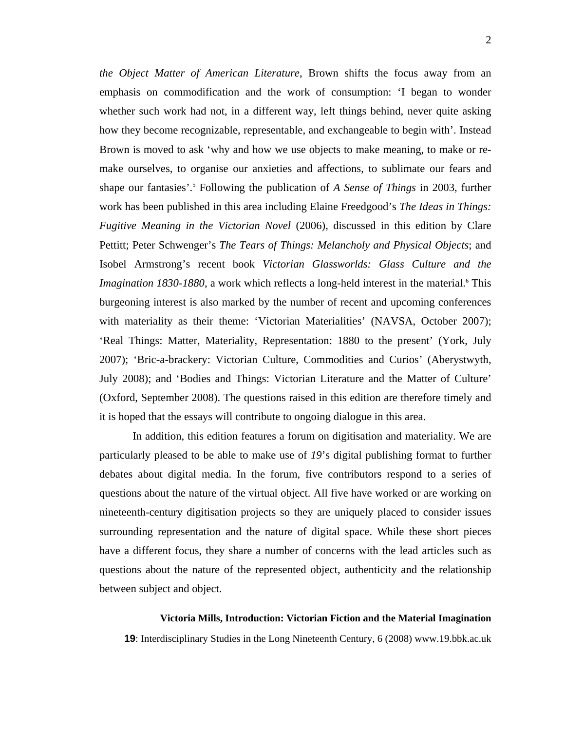*the Object Matter of American Literature*, Brown shifts the focus away from an emphasis on commodification and the work of consumption: 'I began to wonder whether such work had not, in a different way, left things behind, never quite asking how they become recognizable, representable, and exchangeable to begin with'. Instead Brown is moved to ask 'why and how we use objects to make meaning, to make or remake ourselves, to organise our anxieties and affections, to sublimate our fears and shape our fantasies'.<sup>[5](#page-13-4)</sup> Following the publication of *A Sense of Things* in 2003, further work has been published in this area including Elaine Freedgood's *The Ideas in Things: Fugitive Meaning in the Victorian Novel* (2006), discussed in this edition by Clare Pettitt; Peter Schwenger's *The Tears of Things: Melancholy and Physical Objects*; and Isobel Armstrong's recent book *Victorian Glassworlds: Glass Culture and the*  Imagination 1830-1880, a work which reflects a long-held interest in the material.<sup>[6](#page-13-5)</sup> This burgeoning interest is also marked by the number of recent and upcoming conferences with materiality as their theme: 'Victorian Materialities' (NAVSA, October 2007); 'Real Things: Matter, Materiality, Representation: 1880 to the present' (York, July 2007); 'Bric-a-brackery: Victorian Culture, Commodities and Curios' (Aberystwyth, July 2008); and 'Bodies and Things: Victorian Literature and the Matter of Culture' (Oxford, September 2008). The questions raised in this edition are therefore timely and it is hoped that the essays will contribute to ongoing dialogue in this area.

In addition, this edition features a forum on digitisation and materiality. We are particularly pleased to be able to make use of *19*'s digital publishing format to further debates about digital media. In the forum, five contributors respond to a series of questions about the nature of the virtual object. All five have worked or are working on nineteenth-century digitisation projects so they are uniquely placed to consider issues surrounding representation and the nature of digital space. While these short pieces have a different focus, they share a number of concerns with the lead articles such as questions about the nature of the represented object, authenticity and the relationship between subject and object.

# **Victoria Mills, Introduction: Victorian Fiction and the Material Imagination**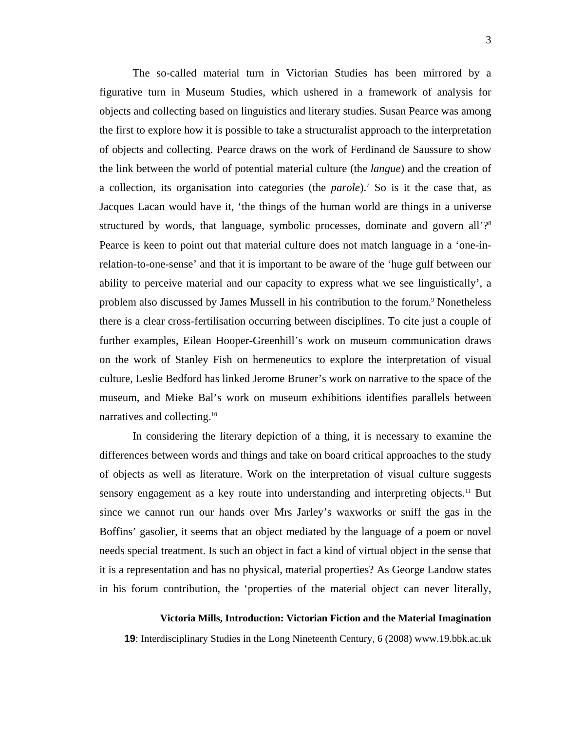The so-called material turn in Victorian Studies has been mirrored by a figurative turn in Museum Studies, which ushered in a framework of analysis for objects and collecting based on linguistics and literary studies. Susan Pearce was among the first to explore how it is possible to take a structuralist approach to the interpretation of objects and collecting. Pearce draws on the work of Ferdinand de Saussure to show the link between the world of potential material culture (the *langue*) and the creation of a collection, its organisation into categories (the *parole*).<sup>7</sup> So is it the case that, as Jacques Lacan would have it, 'the things of the human world are things in a universe structured by words, that language, symbolic processes, dominate and govern all'?<sup>[8](#page-13-6)</sup> Pearce is keen to point out that material culture does not match language in a 'one-inrelation-to-one-sense' and that it is important to be aware of the 'huge gulf between our ability to perceive material and our capacity to express what we see linguistically', a problem also discussed by James Mussell in his contribution to the forum.<sup>[9](#page-13-7)</sup> Nonetheless there is a clear cross-fertilisation occurring between disciplines. To cite just a couple of further examples, Eilean Hooper-Greenhill's work on museum communication draws on the work of Stanley Fish on hermeneutics to explore the interpretation of visual culture, Leslie Bedford has linked Jerome Bruner's work on narrative to the space of the museum, and Mieke Bal's work on museum exhibitions identifies parallels between narratives and collecting[.10](#page-13-8)

In considering the literary depiction of a thing, it is necessary to examine the differences between words and things and take on board critical approaches to the study of objects as well as literature. Work on the interpretation of visual culture suggests sensory engagement as a key route into understanding and interpreting objects.<sup>11</sup> But since we cannot run our hands over Mrs Jarley's waxworks or sniff the gas in the Boffins' gasolier, it seems that an object mediated by the language of a poem or novel needs special treatment. Is such an object in fact a kind of virtual object in the sense that it is a representation and has no physical, material properties? As George Landow states in his forum contribution, the 'properties of the material object can never literally,

#### **Victoria Mills, Introduction: Victorian Fiction and the Material Imagination**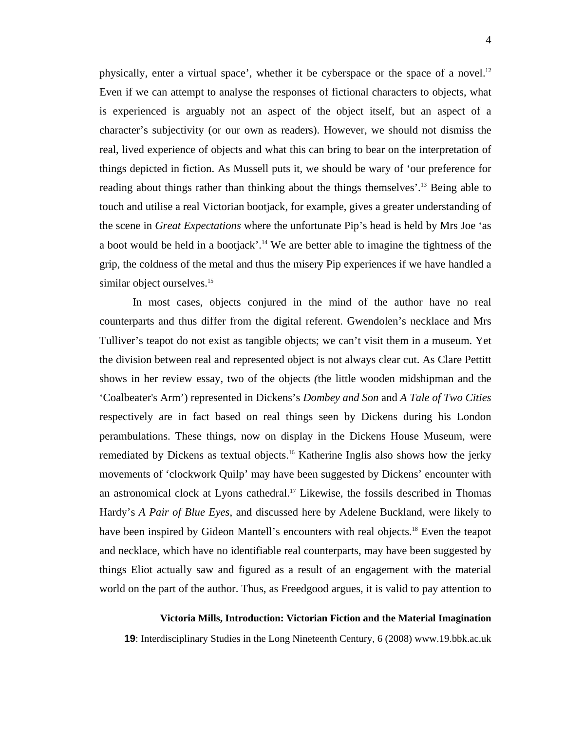physically, enter a virtual space', whether it be cyberspace or the space of a novel. $12$ Even if we can attempt to analyse the responses of fictional characters to objects, what is experienced is arguably not an aspect of the object itself, but an aspect of a character's subjectivity (or our own as readers). However, we should not dismiss the real, lived experience of objects and what this can bring to bear on the interpretation of things depicted in fiction. As Mussell puts it, we should be wary of 'our preference for reading about things rather than thinking about the things themselves'[.13](#page-13-4) Being able to touch and utilise a real Victorian bootjack, for example, gives a greater understanding of the scene in *Great Expectations* where the unfortunate Pip's head is held by Mrs Joe 'as a boot would be held in a bootjack'.<sup>14</sup> We are better able to imagine the tightness of the grip, the coldness of the metal and thus the misery Pip experiences if we have handled a similar object ourselves.<sup>[15](#page-13-5)</sup>

In most cases, objects conjured in the mind of the author have no real counterparts and thus differ from the digital referent. Gwendolen's necklace and Mrs Tulliver's teapot do not exist as tangible objects; we can't visit them in a museum. Yet the division between real and represented object is not always clear cut. As Clare Pettitt shows in her review essay, two of the objects *(*the little wooden midshipman and the 'Coalbeater's Arm') represented in Dickens's *Dombey and Son* and *A Tale of Two Cities*  respectively are in fact based on real things seen by Dickens during his London perambulations. These things, now on display in the Dickens House Museum, were remediated by Dickens as textual objects.<sup>16</sup> Katherine Inglis also shows how the jerky movements of 'clockwork Quilp' may have been suggested by Dickens' encounter with an astronomical clock at Lyons cathedral[.17](#page-13-9) Likewise, the fossils described in Thomas Hardy's *A Pair of Blue Eyes*, and discussed here by Adelene Buckland, were likely to have been inspired by Gideon Mantell's encounters with real objects.<sup>18</sup> Even the teapot and necklace, which have no identifiable real counterparts, may have been suggested by things Eliot actually saw and figured as a result of an engagement with the material world on the part of the author. Thus, as Freedgood argues, it is valid to pay attention to

#### **Victoria Mills, Introduction: Victorian Fiction and the Material Imagination**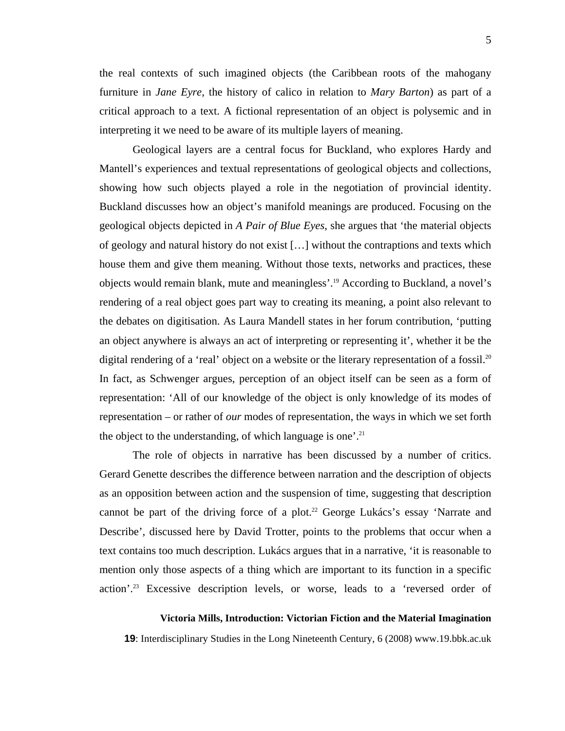the real contexts of such imagined objects (the Caribbean roots of the mahogany furniture in *Jane Eyre*, the history of calico in relation to *Mary Barton*) as part of a critical approach to a text. A fictional representation of an object is polysemic and in interpreting it we need to be aware of its multiple layers of meaning.

Geological layers are a central focus for Buckland, who explores Hardy and Mantell's experiences and textual representations of geological objects and collections, showing how such objects played a role in the negotiation of provincial identity. Buckland discusses how an object's manifold meanings are produced. Focusing on the geological objects depicted in *A Pair of Blue Eyes*, she argues that 'the material objects of geology and natural history do not exist […] without the contraptions and texts which house them and give them meaning. Without those texts, networks and practices, these objects would remain blank, mute and meaningless'[.19](#page-13-5) According to Buckland, a novel's rendering of a real object goes part way to creating its meaning, a point also relevant to the debates on digitisation. As Laura Mandell states in her forum contribution, 'putting an object anywhere is always an act of interpreting or representing it', whether it be the digital rendering of a 'real' object on a website or the literary representation of a fossil.<sup>[20](#page-13-14)</sup> In fact, as Schwenger argues, perception of an object itself can be seen as a form of representation: 'All of our knowledge of the object is only knowledge of its modes of representation – or rather of *our* modes of representation, the ways in which we set forth the object to the understanding, of which language is one'.<sup>21</sup>

The role of objects in narrative has been discussed by a number of critics. Gerard Genette describes the difference between narration and the description of objects as an opposition between action and the suspension of time, suggesting that description cannot be part of the driving force of a plot.<sup>22</sup> George Lukács's essay 'Narrate and Describe', discussed here by David Trotter, points to the problems that occur when a text contains too much description. Lukács argues that in a narrative, 'it is reasonable to mention only those aspects of a thing which are important to its function in a specific action'[.23](#page-13-17) Excessive description levels, or worse, leads to a 'reversed order of

#### **Victoria Mills, Introduction: Victorian Fiction and the Material Imagination**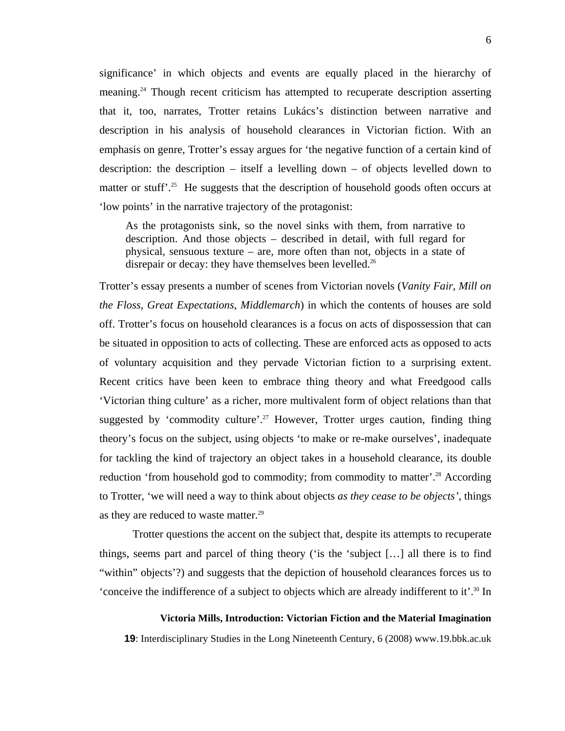significance' in which objects and events are equally placed in the hierarchy of meaning[.24](#page-13-18) Though recent criticism has attempted to recuperate description asserting that it, too, narrates, Trotter retains Lukács's distinction between narrative and description in his analysis of household clearances in Victorian fiction. With an emphasis on genre, Trotter's essay argues for 'the negative function of a certain kind of description: the description – itself a levelling down – of objects levelled down to matter or stuff'.<sup>25</sup> He suggests that the description of household goods often occurs at 'low points' in the narrative trajectory of the protagonist:

As the protagonists sink, so the novel sinks with them, from narrative to description. And those objects – described in detail, with full regard for physical, sensuous texture – are, more often than not, objects in a state of disrepair or decay: they have themselves been levelled.<sup>26</sup>

Trotter's essay presents a number of scenes from Victorian novels (*Vanity Fair*, *Mill on the Floss*, *Great Expectations*, *Middlemarch*) in which the contents of houses are sold off. Trotter's focus on household clearances is a focus on acts of dispossession that can be situated in opposition to acts of collecting. These are enforced acts as opposed to acts of voluntary acquisition and they pervade Victorian fiction to a surprising extent. Recent critics have been keen to embrace thing theory and what Freedgood calls 'Victorian thing culture' as a richer, more multivalent form of object relations than that suggested by 'commodity culture'.<sup>27</sup> However, Trotter urges caution, finding thing theory's focus on the subject, using objects 'to make or re-make ourselves', inadequate for tackling the kind of trajectory an object takes in a household clearance, its double reduction 'from household god to commodity; from commodity to matter'.<sup>28</sup> According to Trotter, 'we will need a way to think about objects *as they cease to be objects'*, things as they are reduced to waste matter.<sup>29</sup>

Trotter questions the accent on the subject that, despite its attempts to recuperate things, seems part and parcel of thing theory ('is the 'subject […] all there is to find "within" objects'?) and suggests that the depiction of household clearances forces us to 'conceive the indifference of a subject to objects which are already indifferent to it'[.30](#page-13-23) In

#### **Victoria Mills, Introduction: Victorian Fiction and the Material Imagination**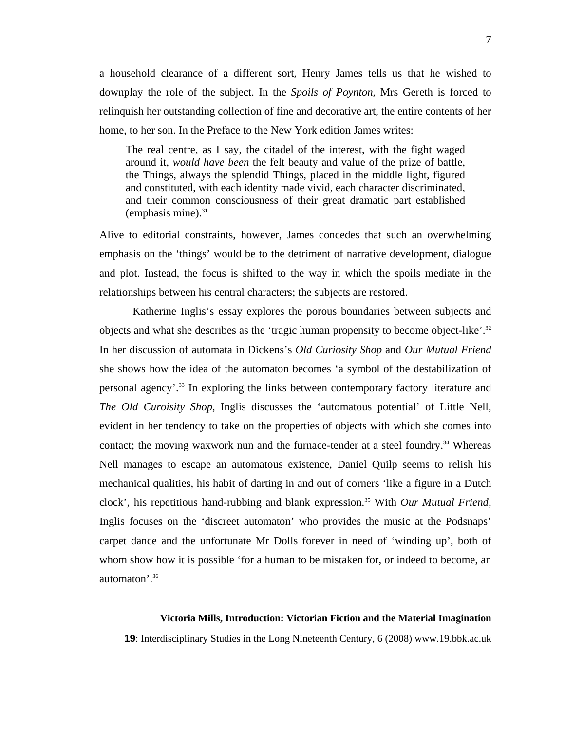a household clearance of a different sort, Henry James tells us that he wished to downplay the role of the subject. In the *Spoils of Poynton*, Mrs Gereth is forced to relinquish her outstanding collection of fine and decorative art, the entire contents of her home, to her son. In the Preface to the New York edition James writes:

The real centre, as I say, the citadel of the interest, with the fight waged around it, *would have been* the felt beauty and value of the prize of battle, the Things, always the splendid Things, placed in the middle light, figured and constituted, with each identity made vivid, each character discriminated, and their common consciousness of their great dramatic part established (emphasis mine). $31$ 

Alive to editorial constraints, however, James concedes that such an overwhelming emphasis on the 'things' would be to the detriment of narrative development, dialogue and plot. Instead, the focus is shifted to the way in which the spoils mediate in the relationships between his central characters; the subjects are restored.

Katherine Inglis's essay explores the porous boundaries between subjects and objects and what she describes as the 'tragic human propensity to become object-like'.[32](#page-13-25) In her discussion of automata in Dickens's *Old Curiosity Shop* and *Our Mutual Friend* she shows how the idea of the automaton becomes 'a symbol of the destabilization of personal agency'[.33](#page-13-26) In exploring the links between contemporary factory literature and *The Old Curoisity Shop*, Inglis discusses the 'automatous potential' of Little Nell, evident in her tendency to take on the properties of objects with which she comes into contact; the moving waxwork nun and the furnace-tender at a steel foundry.<sup>34</sup> Whereas Nell manages to escape an automatous existence, Daniel Quilp seems to relish his mechanical qualities, his habit of darting in and out of corners 'like a figure in a Dutch clock', his repetitious hand-rubbing and blank expression[.35](#page-13-28) With *Our Mutual Friend*, Inglis focuses on the 'discreet automaton' who provides the music at the Podsnaps' carpet dance and the unfortunate Mr Dolls forever in need of 'winding up', both of whom show how it is possible 'for a human to be mistaken for, or indeed to become, an automaton'.[36](#page-13-29)

#### **Victoria Mills, Introduction: Victorian Fiction and the Material Imagination**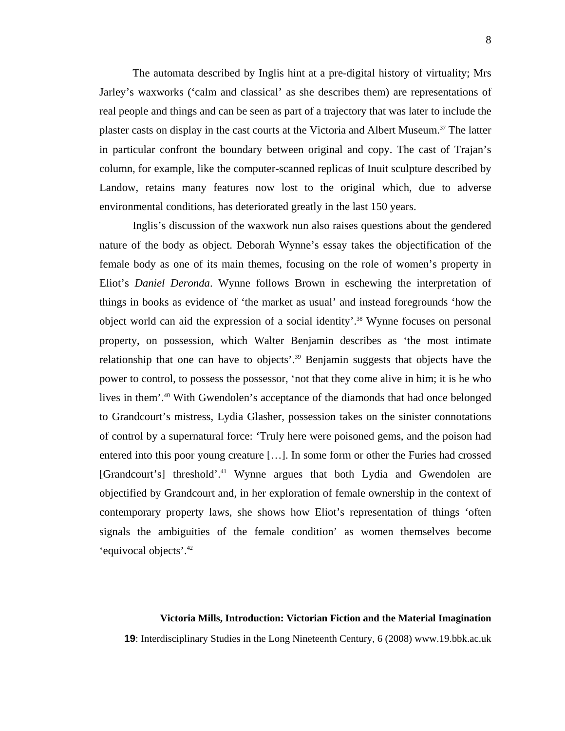The automata described by Inglis hint at a pre-digital history of virtuality; Mrs Jarley's waxworks ('calm and classical' as she describes them) are representations of real people and things and can be seen as part of a trajectory that was later to include the plaster casts on display in the cast courts at the Victoria and Albert Museum. [37](#page-13-30) The latter in particular confront the boundary between original and copy. The cast of Trajan's column, for example, like the computer-scanned replicas of Inuit sculpture described by Landow, retains many features now lost to the original which, due to adverse environmental conditions, has deteriorated greatly in the last 150 years.

Inglis's discussion of the waxwork nun also raises questions about the gendered nature of the body as object. Deborah Wynne's essay takes the objectification of the female body as one of its main themes, focusing on the role of women's property in Eliot's *Daniel Deronda*. Wynne follows Brown in eschewing the interpretation of things in books as evidence of 'the market as usual' and instead foregrounds 'how the object world can aid the expression of a social identity'.[38](#page-13-31) Wynne focuses on personal property, on possession, which Walter Benjamin describes as 'the most intimate relationship that one can have to objects'.<sup>39</sup> Benjamin suggests that objects have the power to control, to possess the possessor, 'not that they come alive in him; it is he who lives in them'.[40](#page-13-32) With Gwendolen's acceptance of the diamonds that had once belonged to Grandcourt's mistress, Lydia Glasher, possession takes on the sinister connotations of control by a supernatural force: 'Truly here were poisoned gems, and the poison had entered into this poor young creature […]. In some form or other the Furies had crossed [Grandcourt's] threshold'.<sup>41</sup> Wynne argues that both Lydia and Gwendolen are objectified by Grandcourt and, in her exploration of female ownership in the context of contemporary property laws, she shows how Eliot's representation of things 'often signals the ambiguities of the female condition' as women themselves become 'equivocal objects'[.42](#page-13-34)

#### **Victoria Mills, Introduction: Victorian Fiction and the Material Imagination**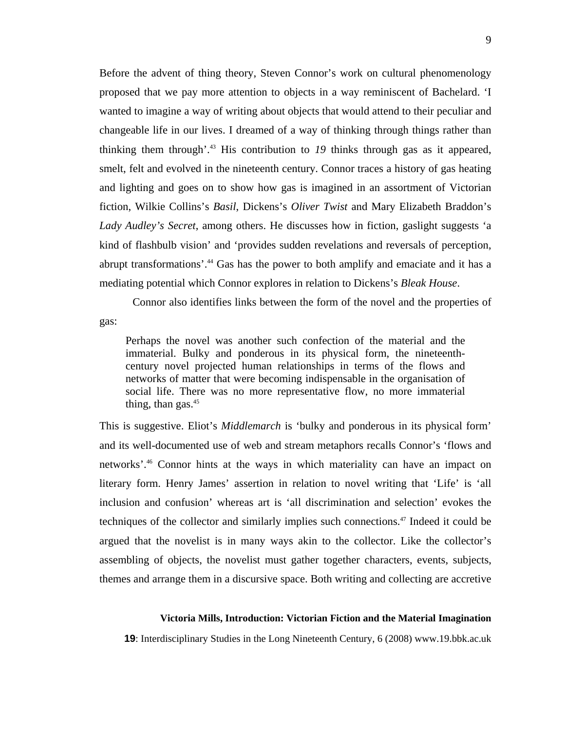Before the advent of thing theory, Steven Connor's work on cultural phenomenology proposed that we pay more attention to objects in a way reminiscent of Bachelard. 'I wanted to imagine a way of writing about objects that would attend to their peculiar and changeable life in our lives. I dreamed of a way of thinking through things rather than thinking them through'.[43](#page-13-35) His contribution to *19* thinks through gas as it appeared, smelt, felt and evolved in the nineteenth century. Connor traces a history of gas heating and lighting and goes on to show how gas is imagined in an assortment of Victorian fiction, Wilkie Collins's *Basil*, Dickens's *Oliver Twist* and Mary Elizabeth Braddon's *Lady Audley's Secret*, among others. He discusses how in fiction, gaslight suggests 'a kind of flashbulb vision' and 'provides sudden revelations and reversals of perception, abrupt transformations'.<sup>44</sup> Gas has the power to both amplify and emaciate and it has a mediating potential which Connor explores in relation to Dickens's *Bleak House*.

Connor also identifies links between the form of the novel and the properties of gas:

Perhaps the novel was another such confection of the material and the immaterial. Bulky and ponderous in its physical form, the nineteenthcentury novel projected human relationships in terms of the flows and networks of matter that were becoming indispensable in the organisation of social life. There was no more representative flow, no more immaterial thing, than gas. $45$ 

This is suggestive. Eliot's *Middlemarch* is 'bulky and ponderous in its physical form' and its well-documented use of web and stream metaphors recalls Connor's 'flows and networks'.[46](#page-13-37) Connor hints at the ways in which materiality can have an impact on literary form. Henry James' assertion in relation to novel writing that 'Life' is 'all inclusion and confusion' whereas art is 'all discrimination and selection' evokes the techniques of the collector and similarly implies such connections.<sup>47</sup> Indeed it could be argued that the novelist is in many ways akin to the collector. Like the collector's assembling of objects, the novelist must gather together characters, events, subjects, themes and arrange them in a discursive space. Both writing and collecting are accretive

### **Victoria Mills, Introduction: Victorian Fiction and the Material Imagination**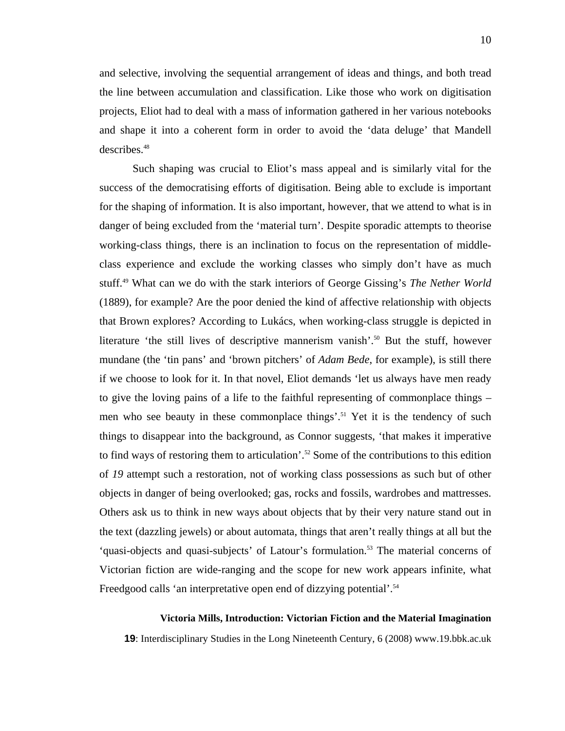and selective, involving the sequential arrangement of ideas and things, and both tread the line between accumulation and classification. Like those who work on digitisation projects, Eliot had to deal with a mass of information gathered in her various notebooks and shape it into a coherent form in order to avoid the 'data deluge' that Mandell describes.<sup>[48](#page-13-35)</sup>

Such shaping was crucial to Eliot's mass appeal and is similarly vital for the success of the democratising efforts of digitisation. Being able to exclude is important for the shaping of information. It is also important, however, that we attend to what is in danger of being excluded from the 'material turn'. Despite sporadic attempts to theorise working-class things, there is an inclination to focus on the representation of middleclass experience and exclude the working classes who simply don't have as much stuff.[49](#page-13-5) What can we do with the stark interiors of George Gissing's *The Nether World* (1889), for example? Are the poor denied the kind of affective relationship with objects that Brown explores? According to Lukács, when working-class struggle is depicted in literature 'the still lives of descriptive mannerism vanish'.<sup>50</sup> But the stuff, however mundane (the 'tin pans' and 'brown pitchers' of *Adam Bede*, for example), is still there if we choose to look for it. In that novel, Eliot demands 'let us always have men ready to give the loving pains of a life to the faithful representing of commonplace things – men who see beauty in these commonplace things'.<sup>51</sup> Yet it is the tendency of such things to disappear into the background, as Connor suggests, 'that makes it imperative to find ways of restoring them to articulation'.<sup>52</sup> Some of the contributions to this edition of *19* attempt such a restoration, not of working class possessions as such but of other objects in danger of being overlooked; gas, rocks and fossils, wardrobes and mattresses. Others ask us to think in new ways about objects that by their very nature stand out in the text (dazzling jewels) or about automata, things that aren't really things at all but the 'quasi-objects and quasi-subjects' of Latour's formulation.<sup>53</sup> The material concerns of Victorian fiction are wide-ranging and the scope for new work appears infinite, what Freedgood calls 'an interpretative open end of dizzying potential'.<sup>54</sup>

#### **Victoria Mills, Introduction: Victorian Fiction and the Material Imagination**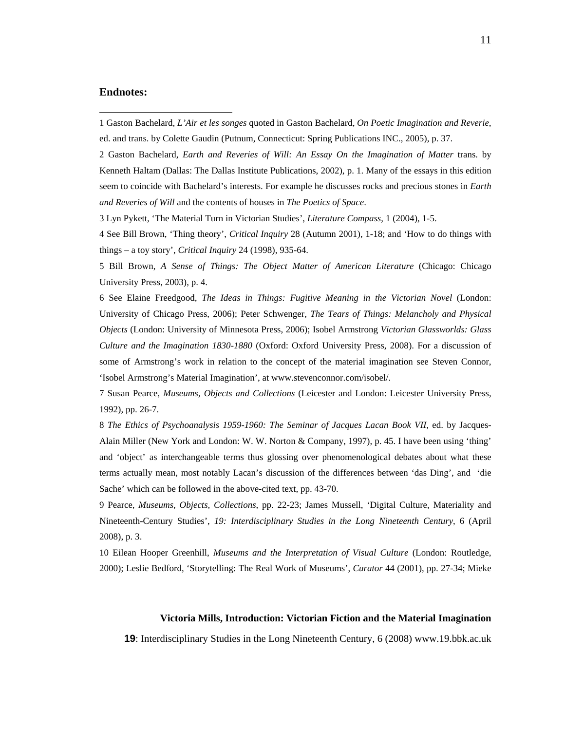# **Endnotes:**

 $\overline{a}$ 

2 Gaston Bachelard, *Earth and Reveries of Will: An Essay On the Imagination of Matter* trans. by Kenneth Haltam (Dallas: The Dallas Institute Publications, 2002), p. 1. Many of the essays in this edition seem to coincide with Bachelard's interests. For example he discusses rocks and precious stones in *Earth and Reveries of Will* and the contents of houses in *The Poetics of Space*.

3 Lyn Pykett, 'The Material Turn in Victorian Studies', *Literature Compass*, 1 (2004), 1-5.

4 See Bill Brown, 'Thing theory', *Critical Inquiry* 28 (Autumn 2001), 1-18; and 'How to do things with things – a toy story', *Critical Inquiry* 24 (1998), 935-64.

5 Bill Brown, *A Sense of Things: The Object Matter of American Literature* (Chicago: Chicago University Press, 2003), p. 4.

6 See Elaine Freedgood, *The Ideas in Things: Fugitive Meaning in the Victorian Novel* (London: University of Chicago Press, 2006); Peter Schwenger, *The Tears of Things: Melancholy and Physical Objects* (London: University of Minnesota Press, 2006); Isobel Armstrong *Victorian Glassworlds: Glass Culture and the Imagination 1830-1880* (Oxford: Oxford University Press, 2008). For a discussion of some of Armstrong's work in relation to the concept of the material imagination see Steven Connor, 'Isobel Armstrong's Material Imagination', at www.stevenconnor.com/isobel/.

7 Susan Pearce, *Museums, Objects and Collections* (Leicester and London: Leicester University Press, 1992), pp. 26-7.

8 *The Ethics of Psychoanalysis 1959-1960: The Seminar of Jacques Lacan Book VII*, ed. by Jacques-Alain Miller (New York and London: W. W. Norton & Company, 1997), p. 45. I have been using 'thing' and 'object' as interchangeable terms thus glossing over phenomenological debates about what these terms actually mean, most notably Lacan's discussion of the differences between 'das Ding', and 'die Sache' which can be followed in the above-cited text, pp. 43-70.

9 Pearce, *Museums, Objects, Collections*, pp. 22-23; James Mussell, 'Digital Culture, Materiality and Nineteenth-Century Studies', *19: Interdisciplinary Studies in the Long Nineteenth Century*, 6 (April 2008), p. 3.

10 Eilean Hooper Greenhill, *Museums and the Interpretation of Visual Culture* (London: Routledge, 2000); Leslie Bedford, 'Storytelling: The Real Work of Museums', *Curator* 44 (2001), pp. 27-34; Mieke

#### **Victoria Mills, Introduction: Victorian Fiction and the Material Imagination**

<sup>1</sup> Gaston Bachelard, *L'Air et les songes* quoted in Gaston Bachelard, *On Poetic Imagination and Reverie*, ed. and trans. by Colette Gaudin (Putnum, Connecticut: Spring Publications INC., 2005), p. 37.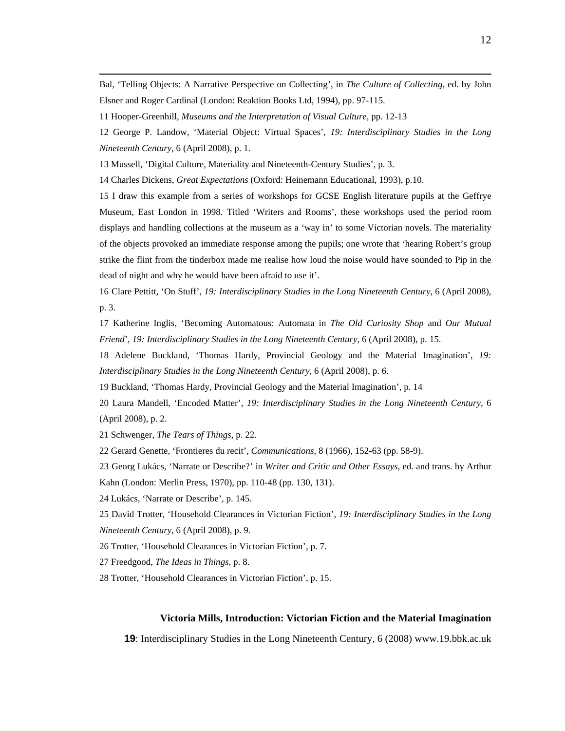Bal, 'Telling Objects: A Narrative Perspective on Collecting', in *The Culture of Collecting*, ed. by John Elsner and Roger Cardinal (London: Reaktion Books Ltd, 1994), pp. 97-115.

12 George P. Landow, 'Material Object: Virtual Spaces', *19: Interdisciplinary Studies in the Long Nineteenth Century*, 6 (April 2008), p. 1.

13 Mussell, 'Digital Culture, Materiality and Nineteenth-Century Studies', p. 3.

14 Charles Dickens, *Great Expectations* (Oxford: Heinemann Educational, 1993), p.10.

15 I draw this example from a series of workshops for GCSE English literature pupils at the Geffrye Museum, East London in 1998. Titled 'Writers and Rooms', these workshops used the period room displays and handling collections at the museum as a 'way in' to some Victorian novels. The materiality of the objects provoked an immediate response among the pupils; one wrote that 'hearing Robert's group strike the flint from the tinderbox made me realise how loud the noise would have sounded to Pip in the dead of night and why he would have been afraid to use it'.

16 Clare Pettitt, 'On Stuff', *19: Interdisciplinary Studies in the Long Nineteenth Century*, 6 (April 2008), p. 3.

17 Katherine Inglis, 'Becoming Automatous: Automata in *The Old Curiosity Shop* and *Our Mutual Friend*', *19: Interdisciplinary Studies in the Long Nineteenth Century*, 6 (April 2008), p. 15.

18 Adelene Buckland, 'Thomas Hardy, Provincial Geology and the Material Imagination', *19: Interdisciplinary Studies in the Long Nineteenth Century*, 6 (April 2008), p. 6.

19 Buckland, 'Thomas Hardy, Provincial Geology and the Material Imagination', p. 14

20 Laura Mandell, 'Encoded Matter', *19: Interdisciplinary Studies in the Long Nineteenth Century*, 6 (April 2008), p. 2.

21 Schwenger, *The Tears of Things*, p. 22.

22 Gerard Genette, 'Frontieres du recit', *Communications*, 8 (1966), 152-63 (pp. 58-9).

23 Georg Lukács, 'Narrate or Describe?' in *Writer and Critic and Other Essays*, ed. and trans. by Arthur Kahn (London: Merlin Press, 1970), pp. 110-48 (pp. 130, 131).

24 Lukács, 'Narrate or Describe', p. 145.

25 David Trotter, 'Household Clearances in Victorian Fiction', *19: Interdisciplinary Studies in the Long Nineteenth Century*, 6 (April 2008), p. 9.

26 Trotter, 'Household Clearances in Victorian Fiction', p. 7.

27 Freedgood, *The Ideas in Things*, p. 8.

28 Trotter, 'Household Clearances in Victorian Fiction', p. 15.

# **Victoria Mills, Introduction: Victorian Fiction and the Material Imagination**

<sup>11</sup> Hooper-Greenhill, *Museums and the Interpretation of Visual Culture*, pp. 12-13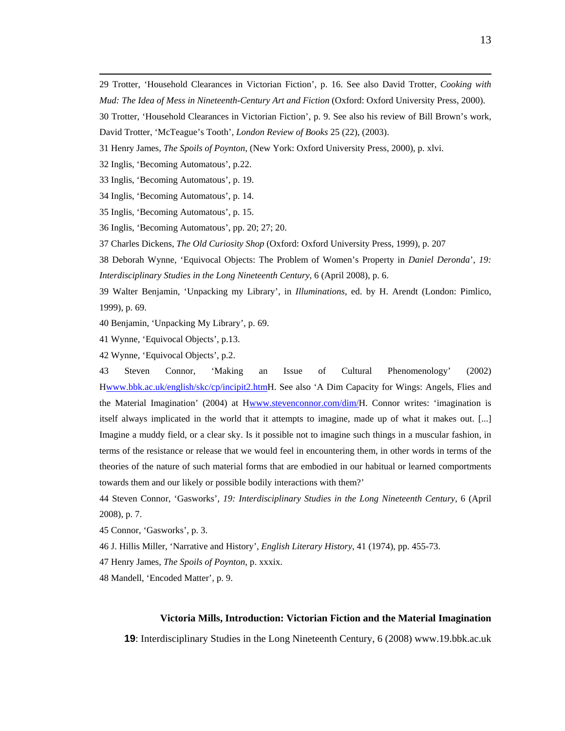29 Trotter, 'Household Clearances in Victorian Fiction', p. 16. See also David Trotter, *Cooking with Mud: The Idea of Mess in Nineteenth-Century Art and Fiction* (Oxford: Oxford University Press, 2000).

- 30 Trotter, 'Household Clearances in Victorian Fiction', p. 9. See also his review of Bill Brown's work,
- David Trotter, 'McTeague's Tooth', *London Review of Books* 25 (22), (2003).
- 31 Henry James, *The Spoils of Poynton*, (New York: Oxford University Press, 2000), p. xlvi.
- 32 Inglis, 'Becoming Automatous', p.22.
- 33 Inglis, 'Becoming Automatous', p. 19.
- 34 Inglis, 'Becoming Automatous', p. 14.
- 35 Inglis, 'Becoming Automatous', p. 15.

36 Inglis, 'Becoming Automatous', pp. 20; 27; 20.

37 Charles Dickens, *The Old Curiosity Shop* (Oxford: Oxford University Press, 1999), p. 207

38 Deborah Wynne, 'Equivocal Objects: The Problem of Women's Property in *Daniel Deronda*', *19: Interdisciplinary Studies in the Long Nineteenth Century*, 6 (April 2008), p. 6.

39 Walter Benjamin, 'Unpacking my Library', in *Illuminations*, ed. by H. Arendt (London: Pimlico, 1999), p. 69.

40 Benjamin, 'Unpacking My Library', p. 69.

41 Wynne, 'Equivocal Objects', p.13.

42 Wynne, 'Equivocal Objects', p.2.

43 Steven Connor, 'Making an Issue of Cultural Phenomenology' (2002) Hwww.bbk.ac.uk/english/skc/cp/incipit2.htmH. See also 'A Dim Capacity for Wings: Angels, Flies and the Material Imagination' (2004) at Hwww.stevenconnor.com/dim/H. Connor writes: 'imagination is itself always implicated in the world that it attempts to imagine, made up of what it makes out. [...] Imagine a muddy field, or a clear sky. Is it possible not to imagine such things in a muscular fashion, in terms of the resistance or release that we would feel in encountering them, in other words in terms of the theories of the nature of such material forms that are embodied in our habitual or learned comportments towards them and our likely or possible bodily interactions with them?'

44 Steven Connor, 'Gasworks', *19: Interdisciplinary Studies in the Long Nineteenth Century*, 6 (April 2008), p. 7.

45 Connor, 'Gasworks', p. 3.

46 J. Hillis Miller, 'Narrative and History', *English Literary History*, 41 (1974), pp. 455-73.

47 Henry James, *The Spoils of Poynton*, p. xxxix.

48 Mandell, 'Encoded Matter', p. 9.

# **Victoria Mills, Introduction: Victorian Fiction and the Material Imagination**